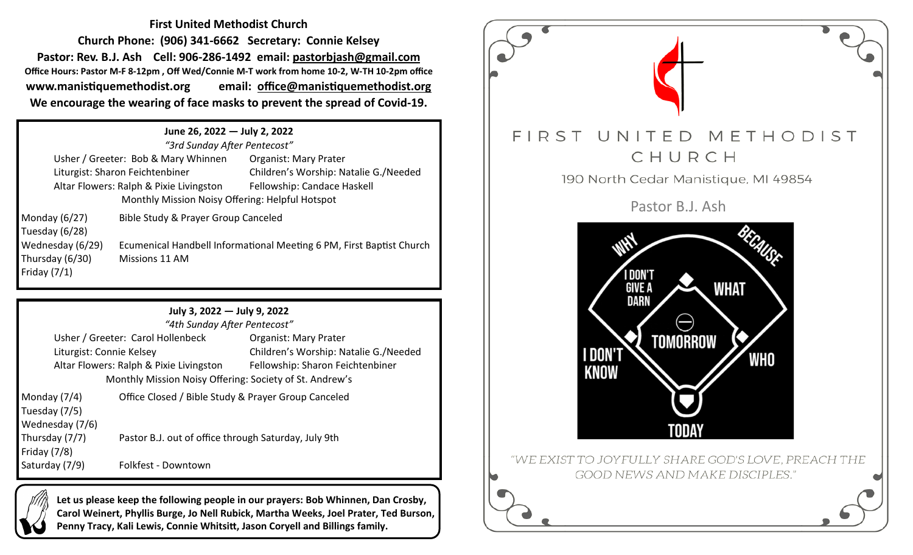**First United Methodist Church Church Phone: (906) 341-6662 Secretary: Connie Kelsey Pastor: Rev. B.J. Ash Cell: 906-286-1492 email: pastorbjash@gmail.com Office Hours: Pastor M-F 8-12pm , Off Wed/Connie M-T work from home 10-2, W-TH 10-2pm office www.manistiquemethodist.org email: office@manistiquemethodist.org We encourage the wearing of face masks to prevent the spread of Covid-19.**

## **June 26, 2022 — July 2, 2022** *"3rd Sunday After Pentecost"*

|                                         | 3ra Sunaay Aπer Pentecost                                            |                                       |  |  |  |
|-----------------------------------------|----------------------------------------------------------------------|---------------------------------------|--|--|--|
|                                         | Usher / Greeter: Bob & Mary Whinnen                                  | <b>Organist: Mary Prater</b>          |  |  |  |
|                                         | Liturgist: Sharon Feichtenbiner                                      | Children's Worship: Natalie G./Needed |  |  |  |
| Altar Flowers: Ralph & Pixie Livingston |                                                                      | Fellowship: Candace Haskell           |  |  |  |
|                                         | Monthly Mission Noisy Offering: Helpful Hotspot                      |                                       |  |  |  |
| Monday $(6/27)$                         | Bible Study & Prayer Group Canceled                                  |                                       |  |  |  |
| Tuesday (6/28)                          |                                                                      |                                       |  |  |  |
| Wednesday (6/29)                        | Ecumenical Handbell Informational Meeting 6 PM, First Baptist Church |                                       |  |  |  |

**July 3, 2022 — July 9, 2022**

|                                                         | "4th Sunday After Pentecost"                        |                                       |  |  |  |
|---------------------------------------------------------|-----------------------------------------------------|---------------------------------------|--|--|--|
| Usher / Greeter: Carol Hollenbeck                       |                                                     | <b>Organist: Mary Prater</b>          |  |  |  |
| Liturgist: Connie Kelsey                                |                                                     | Children's Worship: Natalie G./Needed |  |  |  |
| Altar Flowers: Ralph & Pixie Livingston                 |                                                     | Fellowship: Sharon Feichtenbiner      |  |  |  |
| Monthly Mission Noisy Offering: Society of St. Andrew's |                                                     |                                       |  |  |  |
| 14.7711                                                 | Office Closed / Dible Ctudy 0 Drover Croup Canceled |                                       |  |  |  |

| Monday (7/4)    |
|-----------------|
| Tuesday (7/5)   |
| Wednesday (7/6) |
| Thursday (7/7)  |
| Friday (7/8)    |
| Saturday (7/9)  |

Friday (7/1)

Thursday (6/30) Missions 11 AM

Office Closed / Bible Study & Prayer Group Canceled Pastor B.J. out of office through Saturday, July 9th

Saturday (7/9) Folkfest - Downtown